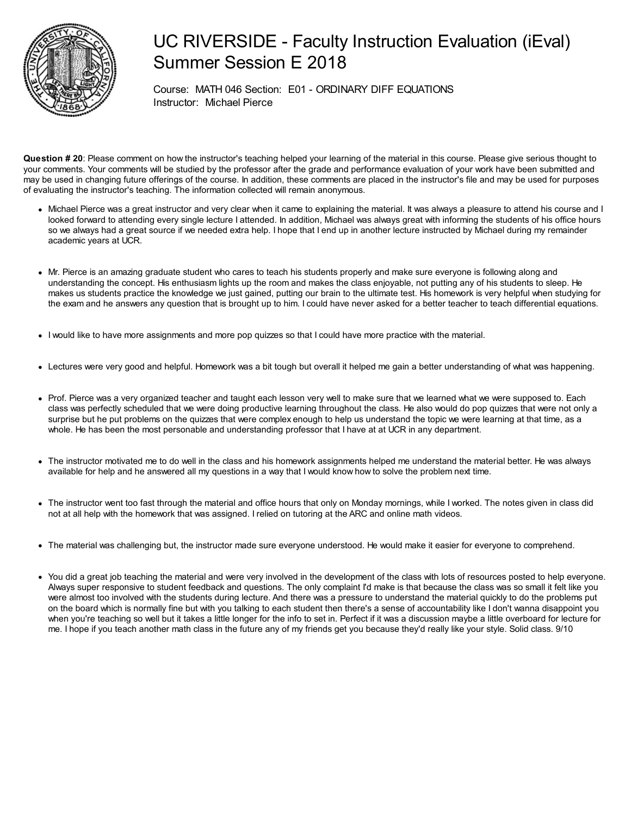

## UC RIVERSIDE - Faculty Instruction Evaluation (iEval) Summer Session E 2018

Course: MATH 046 Section: E01 - ORDINARY DIFF EQUATIONS Instructor: Michael Pierce

**Question # 20**: Please comment on how the instructor's teaching helped your learning of the material in this course. Please give serious thought to your comments. Your comments will be studied by the professor after the grade and performance evaluation of your work have been submitted and may be used in changing future offerings of the course. In addition, these comments are placed in the instructor's file and may be used for purposes of evaluating the instructor's teaching. The information collected will remain anonymous.

- Michael Pierce was a great instructor and very clear when it came to explaining the material. It was always a pleasure to attend his course and I looked forward to attending every single lecture I attended. In addition, Michael was always great with informing the students of his office hours so we always had a great source if we needed extra help. I hope that I end up in another lecture instructed by Michael during my remainder academic years at UCR.
- Mr. Pierce is an amazing graduate student who cares to teach his students properly and make sure everyone is following along and understanding the concept. His enthusiasm lights up the room and makes the class enjoyable, not putting any of his students to sleep. He makes us students practice the knowledge we just gained, putting our brain to the ultimate test. His homework is very helpful when studying for the exam and he answers any question that is brought up to him. I could have never asked for a better teacher to teach differential equations.
- I would like to have more assignments and more pop quizzes so that I could have more practice with the material.
- Lectures were very good and helpful. Homework was a bit tough but overall it helped me gain a better understanding of what was happening.
- Prof. Pierce was a very organized teacher and taught each lesson very well to make sure that we learned what we were supposed to. Each class was perfectly scheduled that we were doing productive learning throughout the class. He also would do pop quizzes that were not only a surprise but he put problems on the quizzes that were complex enough to help us understand the topic we were learning at that time, as a whole. He has been the most personable and understanding professor that I have at at UCR in any department.
- The instructor motivated me to do well in the class and his homework assignments helped me understand the material better. He was always available for help and he answered all my questions in a way that I would know how to solve the problem next time.
- The instructor went too fast through the material and office hours that only on Monday mornings, while I worked. The notes given in class did not at all help with the homework that was assigned. I relied on tutoring at the ARC and online math videos.
- The material was challenging but, the instructor made sure everyone understood. He would make it easier for everyone to comprehend.
- You did a great job teaching the material and were very involved in the development of the class with lots of resources posted to help everyone. Always super responsive to student feedback and questions. The only complaint I'd make is that because the class was so small it felt like you were almost too involved with the students during lecture. And there was a pressure to understand the material quickly to do the problems put on the board which is normally fine but with you talking to each student then there's a sense of accountability like I don't wanna disappoint you when you're teaching so well but it takes a little longer for the info to set in. Perfect if it was a discussion maybe a little overboard for lecture for me. I hope if you teach another math class in the future any of my friends get you because they'd really like your style. Solid class. 9/10